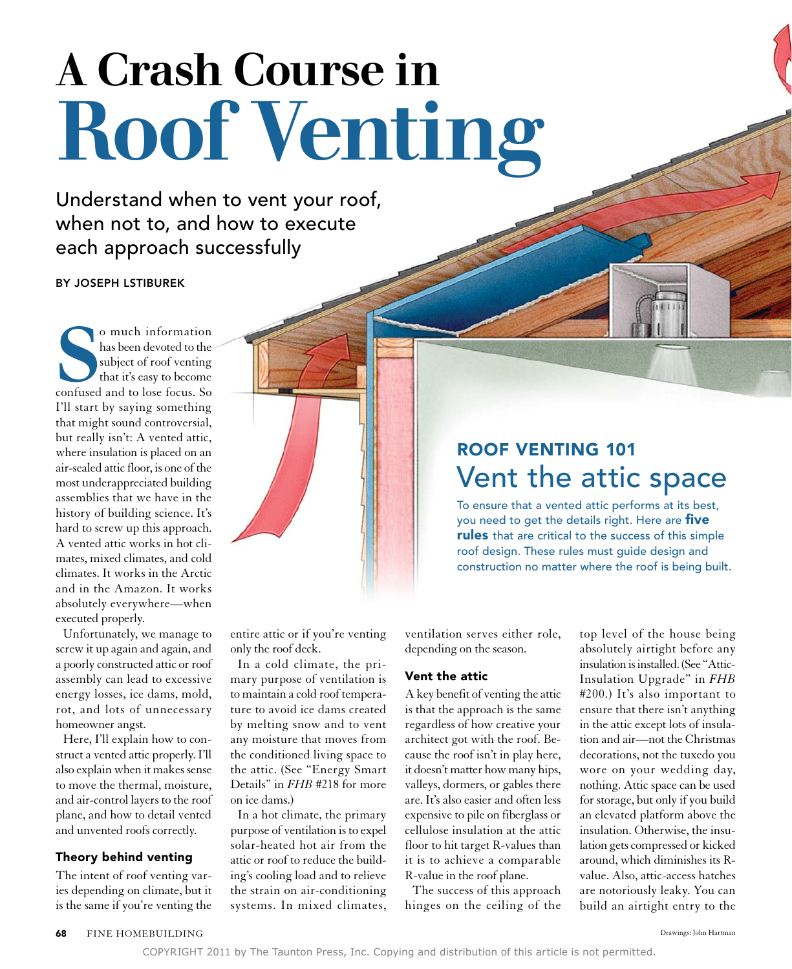# A Crash Course in Roof Venting

Understand when to vent your roof, when not to, and how to execute each approach successfully

by joseph Lstiburek

o much information<br>has been devoted to the<br>subject of roof venting<br>that it's easy to become<br>confused and to lose focus. So o much information has been devoted to the subject of roof venting that it's easy to become I'll start by saying something that might sound controversial, but really isn't: A vented attic, where insulation is placed on an air-sealed attic floor, is one of the most underappreciated building assemblies that we have in the history of building science. It's hard to screw up this approach. A vented attic works in hot climates, mixed climates, and cold climates. It works in the Arctic and in the Amazon. It works absolutely everywhere—when executed properly.

Unfortunately, we manage to screw it up again and again, and a poorly constructed attic or roof assembly can lead to excessive energy losses, ice dams, mold, rot, and lots of unnecessary homeowner angst.

Here, I'll explain how to construct a vented attic properly. I'll also explain when it makes sense to move the thermal, moisture, and air-control layers to the roof plane, and how to detail vented and unvented roofs correctly.

# Theory behind venting

The intent of roof venting varies depending on climate, but it is the same if you're venting the entire attic or if you're venting only the roof deck.

In a cold climate, the primary purpose of ventilation is to maintain a cold roof temperature to avoid ice dams created by melting snow and to vent any moisture that moves from the conditioned living space to the attic. (See "Energy Smart Details" in *FHB* #218 for more on ice dams.)

In a hot climate, the primary purpose of ventilation is to expel solar-heated hot air from the attic or roof to reduce the building's cooling load and to relieve the strain on air-conditioning systems. In mixed climates,

ventilation serves either role, depending on the season.

ROOF VENTING 101

Vent the attic space

To ensure that a vented attic performs at its best, you need to get the details right. Here are five rules that are critical to the success of this simple roof design. These rules must guide design and construction no matter where the roof is being built.

### Vent the attic

A key benefit of venting the attic is that the approach is the same regardless of how creative your architect got with the roof. Because the roof isn't in play here, it doesn't matter how many hips, valleys, dormers, or gables there are. It's also easier and often less expensive to pile on fiberglass or cellulose insulation at the attic floor to hit target R-values than it is to achieve a comparable R-value in the roof plane.

The success of this approach hinges on the ceiling of the

top level of the house being absolutely airtight before any insulation is installed. (See "Attic-Insulation Upgrade" in *FHB* #200.) It's also important to ensure that there isn't anything in the attic except lots of insulation and air—not the Christmas decorations, not the tuxedo you wore on your wedding day, nothing. Attic space can be used for storage, but only if you build an elevated platform above the insulation. Otherwise, the insulation gets compressed or kicked around, which diminishes its Rvalue. Also, attic-access hatches are notoriously leaky. You can build an airtight entry to the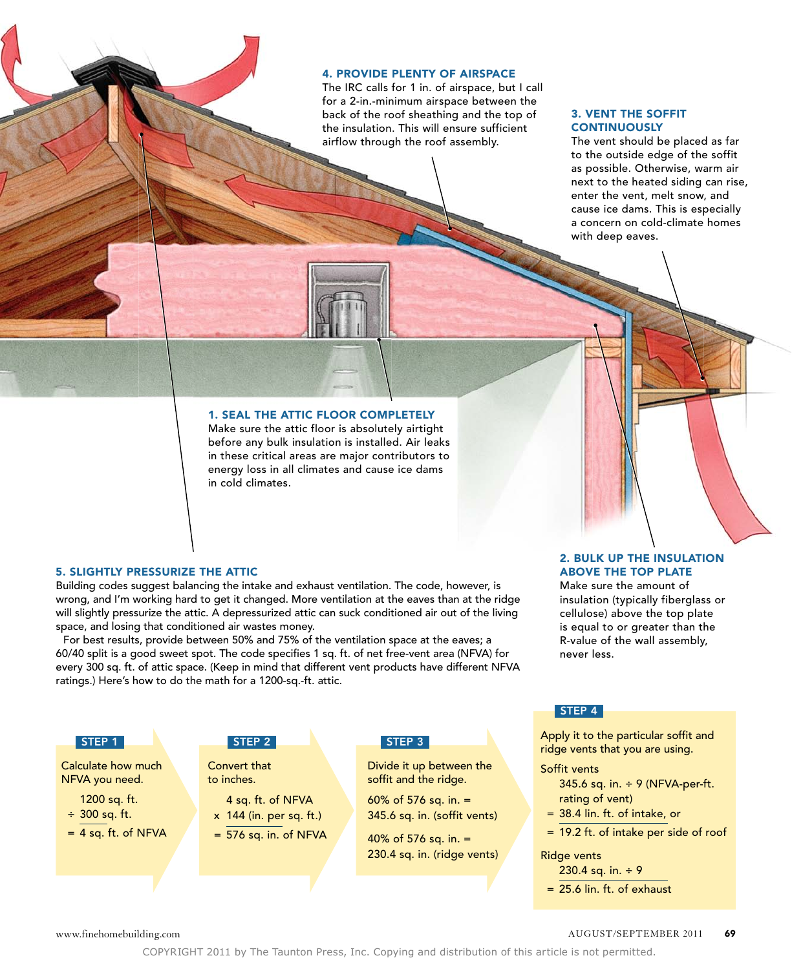#### 4. ProViDe PLenTY of AirSPACe

The IRC calls for 1 in. of airspace, but I call for a 2-in.-minimum airspace between the back of the roof sheathing and the top of the insulation. This will ensure sufficient airflow through the roof assembly.

#### 3. VenT THe SoffiT **CONTINUOUSLY**

The vent should be placed as far to the outside edge of the soffit as possible. Otherwise, warm air next to the heated siding can rise, enter the vent, melt snow, and cause ice dams. This is especially a concern on cold-climate homes with deep eaves.

#### 1. SeAL THe ATTiC fLoor CoMPLeTeLY

Make sure the attic floor is absolutely airtight before any bulk insulation is installed. Air leaks in these critical areas are major contributors to energy loss in all climates and cause ice dams in cold climates.

#### 5. SLigHTLY PreSSUriZe THe ATTiC

Building codes suggest balancing the intake and exhaust ventilation. The code, however, is wrong, and I'm working hard to get it changed. More ventilation at the eaves than at the ridge will slightly pressurize the attic. A depressurized attic can suck conditioned air out of the living space, and losing that conditioned air wastes money.

For best results, provide between 50% and 75% of the ventilation space at the eaves; a 60/40 split is a good sweet spot. The code specifies 1 sq. ft. of net free-vent area (NFVA) for every 300 sq. ft. of attic space. (Keep in mind that different vent products have different NFVA ratings.) Here's how to do the math for a 1200-sq.-ft. attic.



#### 2. BULK UP THe inSULATion ABoVe THe ToP PLATe

Make sure the amount of insulation (typically fiberglass or cellulose) above the top plate is equal to or greater than the R-value of the wall assembly, never less.

#### STEP 4

Apply it to the particular soffit and ridge vents that you are using.

Soffit vents

- 345.6 sq. in. ÷ 9 (NFVA-per-ft. rating of vent)
- = 38.4 lin. ft. of intake, or
- = 19.2 ft. of intake per side of roof

Ridge vents

- 230.4 sq. in.  $\div$  9
- = 25.6 lin. ft. of exhaust

COPYRIGHT 2011 by The Taunton Press, Inc. Copying and distribution of this article is not permitted.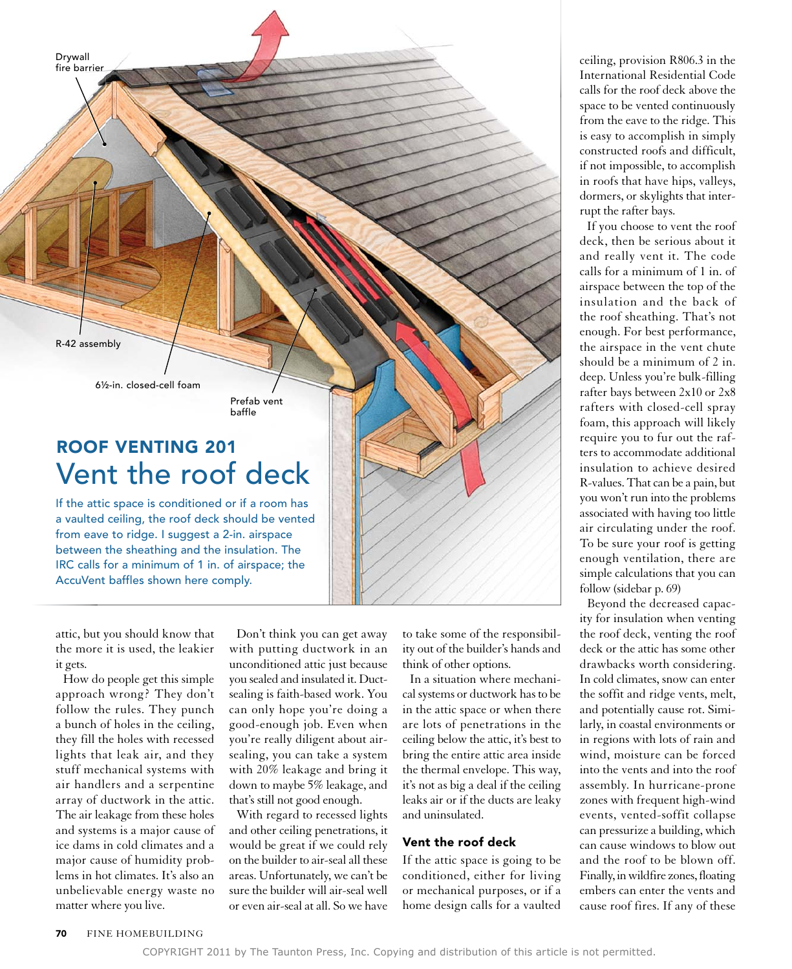

attic, but you should know that the more it is used, the leakier it gets.

How do people get this simple approach wrong? They don't follow the rules. They punch a bunch of holes in the ceiling, they fill the holes with recessed lights that leak air, and they stuff mechanical systems with air handlers and a serpentine array of ductwork in the attic. The air leakage from these holes and systems is a major cause of ice dams in cold climates and a major cause of humidity problems in hot climates. It's also an unbelievable energy waste no matter where you live.

Don't think you can get away with putting ductwork in an unconditioned attic just because you sealed and insulated it. Ductsealing is faith-based work. You can only hope you're doing a good-enough job. Even when you're really diligent about airsealing, you can take a system with 20% leakage and bring it down to maybe 5% leakage, and that's still not good enough.

With regard to recessed lights and other ceiling penetrations, it would be great if we could rely on the builder to air-seal all these areas. Unfortunately, we can't be sure the builder will air-seal well or even air-seal at all. So we have

to take some of the responsibility out of the builder's hands and think of other options.

In a situation where mechanical systems or ductwork has to be in the attic space or when there are lots of penetrations in the ceiling below the attic, it's best to bring the entire attic area inside the thermal envelope. This way, it's not as big a deal if the ceiling leaks air or if the ducts are leaky and uninsulated.

## Vent the roof deck

If the attic space is going to be conditioned, either for living or mechanical purposes, or if a home design calls for a vaulted ceiling, provision R806.3 in the International Residential Code calls for the roof deck above the space to be vented continuously from the eave to the ridge. This is easy to accomplish in simply constructed roofs and difficult, if not impossible, to accomplish in roofs that have hips, valleys, dormers, or skylights that interrupt the rafter bays.

If you choose to vent the roof deck, then be serious about it and really vent it. The code calls for a minimum of 1 in. of airspace between the top of the insulation and the back of the roof sheathing. That's not enough. For best performance, the airspace in the vent chute should be a minimum of 2 in. deep. Unless you're bulk-filling rafter bays between 2x10 or 2x8 rafters with closed-cell spray foam, this approach will likely require you to fur out the rafters to accommodate additional insulation to achieve desired R-values. That can be a pain, but you won't run into the problems associated with having too little air circulating under the roof. To be sure your roof is getting enough ventilation, there are simple calculations that you can follow (sidebar p. 69)

Beyond the decreased capacity for insulation when venting the roof deck, venting the roof deck or the attic has some other drawbacks worth considering. In cold climates, snow can enter the soffit and ridge vents, melt, and potentially cause rot. Similarly, in coastal environments or in regions with lots of rain and wind, moisture can be forced into the vents and into the roof assembly. In hurricane-prone zones with frequent high-wind events, vented-soffit collapse can pressurize a building, which can cause windows to blow out and the roof to be blown off. Finally, in wildfire zones, floating embers can enter the vents and cause roof fires. If any of these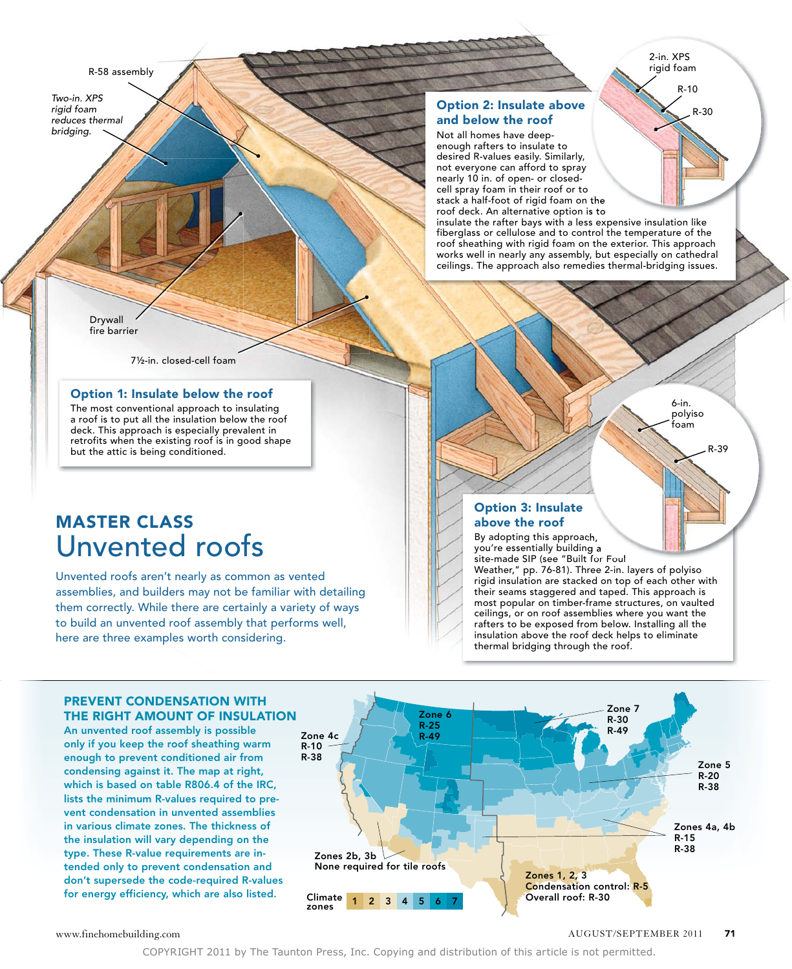R-58 assembly

*Two-in. XPS rigid foam reduces thermal bridging.*

#### Drywall fire barrier

7½ -in. closed-cell foam

#### Option 1: Insulate below the roof

The most conventional approach to insulating a roof is to put all the insulation below the roof deck. This approach is especially prevalent in retrofits when the existing roof is in good shape but the attic is being conditioned.

# MASTer CLASS Unvented roofs

Unvented roofs aren't nearly as common as vented assemblies, and builders may not be familiar with detailing them correctly. While there are certainly a variety of ways to build an unvented roof assembly that performs well, here are three examples worth considering.

# **Option 2: Insulate above** and below the roof

Not all homes have deepenough rafters to insulate to desired R-values easily. Similarly, not everyone can afford to spray nearly 10 in. of open- or closedcell spray foam in their roof or to stack a half-foot of rigid foam on the roof deck. An alternative option is to

insulate the rafter bays with a less expensive insulation like fiberglass or cellulose and to control the temperature of the roof sheathing with rigid foam on the exterior. This approach works well in nearly any assembly, but especially on cathedral ceilings. The approach also remedies thermal-bridging issues.

> 6-in. polyiso foam

R-10

2-in. XPS rigid foam

R-30

#### R-39

# **Option 3: Insulate** above the roof

By adopting this approach, you're essentially building a site-made SIP (see "Built for Foul

Weather," pp. 76-81). Three 2-in. layers of polyiso rigid insulation are stacked on top of each other with their seams staggered and taped. This approach is most popular on timber-frame structures, on vaulted ceilings, or on roof assemblies where you want the rafters to be exposed from below. Installing all the insulation above the roof deck helps to eliminate thermal bridging through the roof.

## PREVENT CONDENSATION WITH THE RIGHT AMOUNT OF INSULATION

An unvented roof assembly is possible only if you keep the roof sheathing warm enough to prevent conditioned air from condensing against it. The map at right, which is based on table R806.4 of the IRC. lists the minimum R-values required to prevent condensation in unvented assemblies in various climate zones. The thickness of the insulation will vary depending on the type. These R-value requirements are intended only to prevent condensation and don't supersede the code-required R-values for energy efficiency, which are also listed.



www.finehomebuilding.com **71** and the set of the set of the set of the set of the AUGUST/SEPTEMBER 2011 **71**